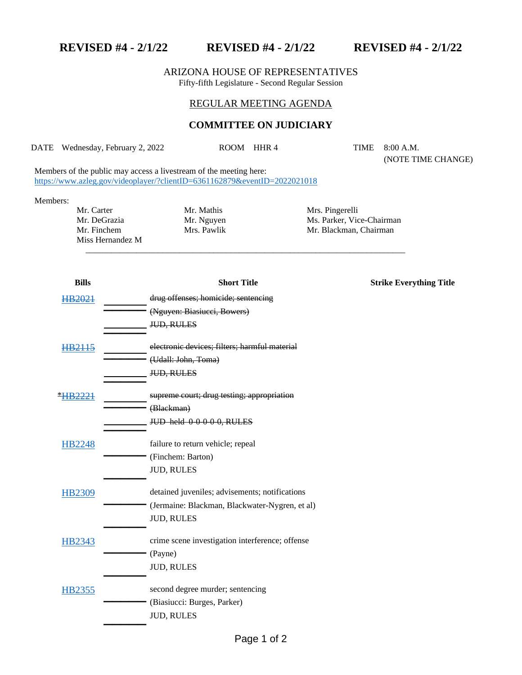**REVISED #4 - 2/1/22 REVISED #4 - 2/1/22 REVISED #4 - 2/1/22**

# ARIZONA HOUSE OF REPRESENTATIVES

Fifty-fifth Legislature - Second Regular Session

## REGULAR MEETING AGENDA

### **COMMITTEE ON JUDICIARY**

DATE Wednesday, February 2, 2022 ROOM HHR 4 TIME 8:00 A.M.

\_\_\_\_\_\_\_\_\_\_\_\_\_\_\_\_\_\_\_\_\_\_\_\_\_\_\_\_\_\_\_\_\_\_\_\_\_\_\_\_\_\_\_\_\_\_\_\_\_\_\_\_\_\_\_\_\_\_\_\_\_\_\_\_\_\_\_\_\_\_\_\_\_\_\_

(NOTE TIME CHANGE)

Members of the public may access a livestream of the meeting here: <https://www.azleg.gov/videoplayer/?clientID=6361162879&eventID=2022021018>

#### Members:

Mr. Carter Mr. Mathis Mrs. Pingerelli Miss Hernandez M

Mr. DeGrazia Mr. Mensies Mr. Nguyen Mr. Ms. Parker, Vice-Chairman<br>Mr. Finchem Mrs. Pawlik Mr. Blackman, Chairman Mr. Finchem Mrs. Pawlik Mrs. Pawlik Mr. Blackman, Chairman

| <b>Bills</b>   | <b>Short Title</b>                              | <b>Strike Everything Title</b> |
|----------------|-------------------------------------------------|--------------------------------|
| HB2021         | drug offenses; homicide; sentencing             |                                |
|                | (Nguyen: Biasiucci, Bowers)                     |                                |
|                | JUD, RULES                                      |                                |
| <b>HB2115</b>  | electronic devices; filters; harmful material   |                                |
|                | (Udall: John, Toma)                             |                                |
|                | <b>JUD, RULES</b>                               |                                |
| <b>*HB2221</b> | supreme court; drug testing; appropriation      |                                |
|                | (Blackman)                                      |                                |
|                | JUD held 00000, RULES                           |                                |
| <b>HB2248</b>  | failure to return vehicle; repeal               |                                |
|                | (Finchem: Barton)                               |                                |
|                | <b>JUD, RULES</b>                               |                                |
| <b>HB2309</b>  | detained juveniles; advisements; notifications  |                                |
|                | (Jermaine: Blackman, Blackwater-Nygren, et al)  |                                |
|                | <b>JUD, RULES</b>                               |                                |
| HB2343         | crime scene investigation interference; offense |                                |
|                | (Payne)                                         |                                |
|                | <b>JUD, RULES</b>                               |                                |
| HB2355         | second degree murder; sentencing                |                                |
|                | (Biasiucci: Burges, Parker)                     |                                |
|                | <b>JUD, RULES</b>                               |                                |
|                |                                                 |                                |